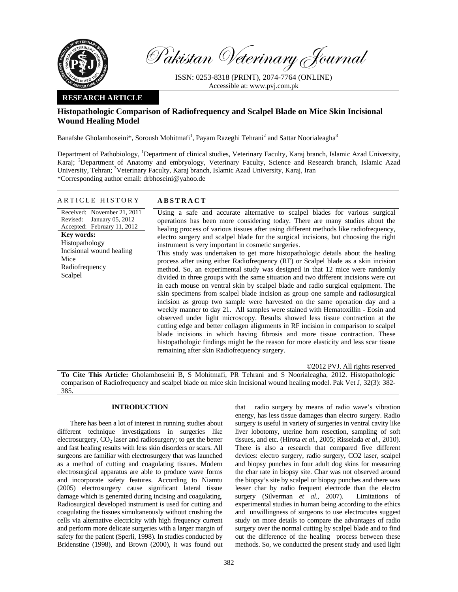

Pakistan Veterinary Journal

ISSN: 0253-8318 (PRINT), 2074-7764 (ONLINE) Accessible at: www.pvj.com.pk

## **RESEARCH ARTICLE**

# **Histopathologic Comparison of Radiofrequency and Scalpel Blade on Mice Skin Incisional Wound Healing Model**

Banafshe Gholamhoseini\*, Soroush Mohitmafi<sup>1</sup>, Payam Razeghi Tehrani<sup>2</sup> and Sattar Noorialeagha<sup>3</sup>

Department of Pathobiology, <sup>1</sup>Department of clinical studies, Veterinary Faculty, Karaj branch, Islamic Azad University, Karaj; <sup>2</sup>Department of Anatomy and embryology, Veterinary Faculty, Science and Research branch, Islamic Azad University, Tehran; <sup>3</sup>Veterinary Faculty, Karaj branch, Islamic Azad University, Karaj, Iran \*Corresponding author email: drbhoseini@yahoo.de

#### ARTICLE HISTORY **ABSTRACT**

Received: November 21, 2011 Revised: Accepted: February 11, 2012 January 05, 2012 **Key words:**  Histopathology Incisional wound healing Mice Radiofrequency Scalpel

Using a safe and accurate alternative to scalpel blades for various surgical operations has been more considering today. There are many studies about the healing process of various tissues after using different methods like radiofrequency, electro surgery and scalpel blade for the surgical incisions, but choosing the right instrument is very important in cosmetic surgeries. This study was undertaken to get more histopathologic details about the healing process after using either Radiofrequency (RF) or Scalpel blade as a skin incision method. So, an experimental study was designed in that 12 mice were randomly divided in three groups with the same situation and two different incisions were cut in each mouse on ventral skin by scalpel blade and radio surgical equipment. The skin specimens from scalpel blade incision as group one sample and radiosurgical incision as group two sample were harvested on the same operation day and a weekly manner to day 21. All samples were stained with Hematoxillin - Eosin and observed under light microscopy. Results showed less tissue contraction at the cutting edge and better collagen alignments in RF incision in comparison to scalpel blade incisions in which having fibrosis and more tissue contraction. These histopathologic findings might be the reason for more elasticity and less scar tissue remaining after skin Radiofrequency surgery.

©2012 PVJ. All rights reserved **To Cite This Article:** Gholamhoseini B, S Mohitmafi, PR Tehrani and S Noorialeagha, 2012. Histopathologic comparison of Radiofrequency and scalpel blade on mice skin Incisional wound healing model. Pak Vet J, 32(3): 382- 385.

## **INTRODUCTION**

There has been a lot of interest in running studies about different technique investigations in surgeries like electrosurgery,  $CO<sub>2</sub>$  laser and radiosurgery; to get the better and fast healing results with less skin disorders or scars. All surgeons are familiar with electrosurgery that was launched as a method of cutting and coagulating tissues. Modern electrosurgical apparatus are able to produce wave forms and incorporate safety features. According to Niamtu (2005) electrosurgery cause significant lateral tissue damage which is generated during incising and coagulating. Radiosurgical developed instrument is used for cutting and coagulating the tissues simultaneously without crushing the cells via alternative electricity with high frequency current and perform more delicate surgeries with a larger margin of safety for the patient (Sperli, 1998). In studies conducted by Bridenstine (1998), and Brown (2000), it was found out that radio surgery by means of radio wave's vibration energy, has less tissue damages than electro surgery. Radio surgery is useful in variety of surgeries in ventral cavity like liver lobotomy, uterine horn resection, sampling of soft tissues, and etc. (Hirota *et al.*, 2005; Risselada *et al*., 2010). There is also a research that compared five different devices: electro surgery, radio surgery, CO2 laser, scalpel and biopsy punches in four adult dog skins for measuring the char rate in biopsy site. Char was not observed around the biopsy's site by scalpel or biopsy punches and there was lesser char by radio frequent electrode than the electro surgery (Silverman *et al.,* 2007). Limitations of experimental studies in human being according to the ethics and unwillingness of surgeons to use electrocutes suggest study on more details to compare the advantages of radio surgery over the normal cutting by scalpel blade and to find out the difference of the healing process between these methods. So, we conducted the present study and used light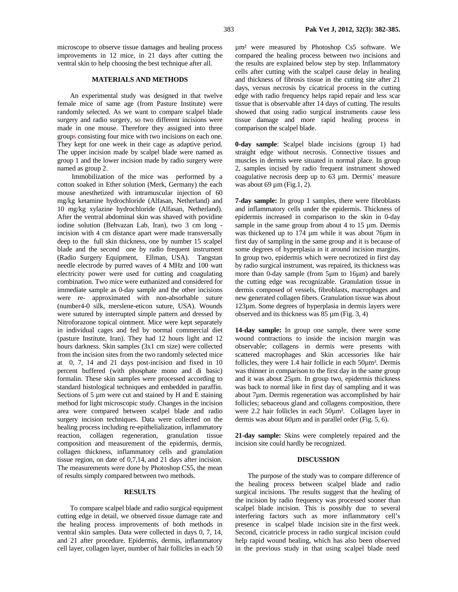microscope to observe tissue damages and healing process improvements in 12 mice, in 21 days after cutting the ventral skin to help choosing the best technique after all.

#### **MATERIALS AND METHODS**

An experimental study was designed in that twelve female mice of same age (from Pasture Institute) were randomly selected. As we want to compare scalpel blade surgery and radio surgery, so two different incisions were made in one mouse. Therefore they assigned into three groups consisting four mice with two incisions on each one. They kept for one week in their cage as adaptive period. The upper incision made by scalpel blade were named as group 1 and the lower incision made by radio surgery were named as group 2.

 Immobilization of the mice was performed by a cotton soaked in Ether solution (Merk, Germany) the each mouse anesthetized with intramuscular injection of 60 mg/kg ketamine hydrochloride (Alfasan, Netherland) and 10 mg/kg xylazine hydrochloride (Alfasan, Netherland). After the ventral abdominal skin was shaved with povidine iodine solution (Behvazan Lab, Iran), two 3 cm long incision with 4 cm distance apart were made transversally deep to the full skin thickness, one by number 15 scalpel blade and the second one by radio frequent instrument (Radio Surgery Equipment, Ellman, USA). Tangstan needle electrode by purred waves of 4 MHz and 100 watt electricity power were used for cutting and coagulating combination. Two mice were euthanized and considered for immediate sample as 0-day sample and the other incisions were re- approximated with non-absorbable suture (number4-0 silk, merslene-eticon suture, USA). Wounds were sutured by interrupted simple pattern and dressed by Nitroforazone topical ointment. Mice were kept separately in individual cages and fed by normal commercial diet (pasture Institute, Iran). They had 12 hours light and 12 hours darkness. Skin samples (3x1 cm size) were collected from the incision sites from the two randomly selected mice at 0, 7, 14 and 21 days post-incision and fixed in 10 percent buffered (with phosphate mono and di basic) formalin. These skin samples were processed according to standard histological techniques and embedded in paraffin. Sections of 5  $\mu$ m were cut and stained by H and E staining method for light microscopic study. Changes in the incision area were compared between scalpel blade and radio surgery incision techniques. Data were collected on the healing process including re-epithelialization, inflammatory reaction, collagen regeneration, granulation tissue composition and measurement of the epidermis, dermis, collagen thickness, inflammatory cells and granulation tissue region, on date of 0,7,14, and 21 days after incision. The measurements were done by Photoshop CS5, the mean of results simply compared between two methods.

### **RESULTS**

To compare scalpel blade and radio surgical equipment cutting edge in detail, we observed tissue damage rate and the healing process improvements of both methods in ventral skin samples. Data were collected in days 0, 7, 14, and 21 after procedure. Epidermis, dermis, inflammatory cell layer, collagen layer, number of hair follicles in each 50 µm² were measured by Photoshop Cs5 software. We compared the healing process between two incisions and the results are explained below step by step. Inflammatory cells after cutting with the scalpel cause delay in healing and thickness of fibrosis tissue in the cutting site after 21 days, versus necrosis by cicatrical process in the cutting edge with radio frequency helps rapid repair and less scar tissue that is observable after 14 days of cutting. The results showed that using radio surgical instruments cause less tissue damage and more rapid healing process in comparison the scalpel blade.

**0-day sample**: Scalpel blade incisions (group 1) had straight edge without necrosis. Connective tissues and muscles in dermis were situated in normal place. In group 2, samples incised by radio frequent instrument showed coagulative necrosis deep up to 63 µm. Dermis' measure was about 69  $\mu$ m (Fig.1, 2).

**7-day sample:** In group 1 samples, there were fibroblasts and inflammatory cells under the epidermis. Thickness of epidermis increased in comparison to the skin in 0-day sample in the same group from about 4 to  $15 \mu m$ . Dermis was thickened up to 174 µm while it was about 76µm in first day of sampling in the same group and it is because of some degrees of hyperplasia in it around incision margins. In group two, epidermis which were necrotized in first day by radio surgical instrument, was repaired, its thickness was more than 0-day sample (from 5µm to 16µm) and barely the cutting edge was recognizable. Granulation tissue in dermis composed of vessels, fibroblasts, macrophages and new generated collagen fibers. Granulation tissue was about 123µm. Some degrees of hyperplasia in dermis layers were observed and its thickness was 85 µm (Fig. 3, 4)

**14-day sample:** In group one sample, there were some wound contractions to inside the incision margin was observable; collagens in dermis were presents with scattered macrophages and Skin accessories like hair follicles, they were 1.4 hair follicle in each 50µm². Dermis was thinner in comparison to the first day in the same group and it was about 25µm. In group two, epidermis thickness was back to normal like in first day of sampling and it was about 7µm. Dermis regeneration was accomplished by hair follicles; sebaceous gland and collagens composition, there were 2.2 hair follicles in each 50µm². Collagen layer in dermis was about 60 $\mu$ m and in parallel order (Fig. 5, 6).

**21-day sample:** Skins were completely repaired and the incision site could hardly be recognized.

#### **DISCUSSION**

The purpose of the study was to compare difference of the healing process between scalpel blade and radio surgical incisions. The results suggest that the healing of the incision by radio frequency was processed sooner than scalpel blade incision. This is possibly due to several interfering factors such as more inflammatory cell's presence in scalpel blade incision site in the first week. Second, cicatricle process in radio surgical incision could help rapid wound healing, which has also been observed in the previous study in that using scalpel blade need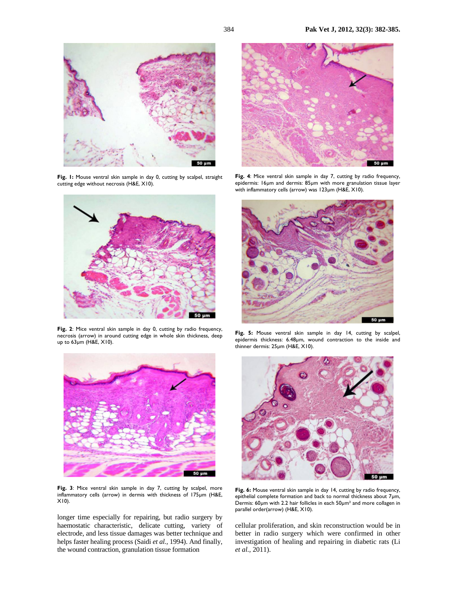

**Fig. 1:** Mouse ventral skin sample in day 0, cutting by scalpel, straight cutting edge without necrosis (H&E, X10).



Fig. 2: Mice ventral skin sample in day 0, cutting by radio frequency, necrosis (arrow) in around cutting edge in whole skin thickness, deep up to 63µm (H&E, X10).



Fig. 3: Mice ventral skin sample in day 7, cutting by scalpel, more inflammatory cells (arrow) in dermis with thickness of 175µm (H&E,  $X10$ ).

longer time especially for repairing, but radio surgery by haemostatic characteristic, delicate cutting, variety of electrode, and less tissue damages was better technique and helps faster healing process (Saidi *et al.,* 1994). And finally, the wound contraction, granulation tissue formation



**Fig. 4**: Mice ventral skin sample in day 7, cutting by radio frequency, epidermis: 16µm and dermis: 85µm with more granulation tissue layer with inflammatory cells (arrow) was 123µm (H&E, X10).



**Fig. 5:** Mouse ventral skin sample in day 14, cutting by scalpel, epidermis thickness: 6.48µm, wound contraction to the inside and thinner dermis: 25µm (H&E, X10).



Fig. 6: Mouse ventral skin sample in day 14, cutting by radio frequency, epithelial complete formation and back to normal thickness about 7µm, Dermis: 60µm with 2.2 hair follicles in each 50µm² and more collagen in parallel order(arrow) (H&E, X10).

cellular proliferation, and skin reconstruction would be in better in radio surgery which were confirmed in other investigation of healing and repairing in diabetic rats (Li *et al.,* 2011).